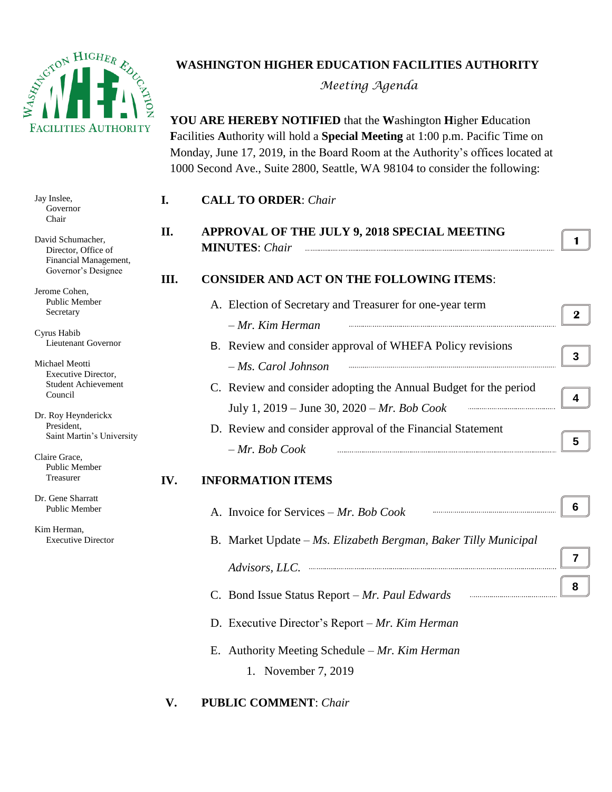

## **WASHINGTON HIGHER EDUCATION FACILITIES AUTHORITY**

*Meeting Agenda*

**YOU ARE HEREBY NOTIFIED** that the **W**ashington **H**igher **E**ducation **F**acilities **A**uthority will hold a **Special Meeting** at 1:00 p.m. Pacific Time on Monday, June 17, 2019, in the Board Room at the Authority's offices located at 1000 Second Ave., Suite 2800, Seattle, WA 98104 to consider the following:

| Jay Inslee,<br>Governor<br>Chair                                                         | I.  | <b>CALL TO ORDER: Chair</b>                                             |                |
|------------------------------------------------------------------------------------------|-----|-------------------------------------------------------------------------|----------------|
| David Schumacher,<br>Director, Office of<br>Financial Management,<br>Governor's Designee | П.  | APPROVAL OF THE JULY 9, 2018 SPECIAL MEETING<br><b>MINUTES:</b> Chair   | 1.             |
|                                                                                          | Ш.  | <b>CONSIDER AND ACT ON THE FOLLOWING ITEMS:</b>                         |                |
| Jerome Cohen,<br>Public Member<br>Secretary                                              |     | A. Election of Secretary and Treasurer for one-year term                | $\mathbf{2}^-$ |
| Cyrus Habib                                                                              |     | - Mr. Kim Herman                                                        |                |
| Lieutenant Governor                                                                      |     | B. Review and consider approval of WHEFA Policy revisions               |                |
| Michael Meotti<br>Executive Director,                                                    |     | - Ms. Carol Johnson                                                     | 3 <sup>1</sup> |
| <b>Student Achievement</b><br>Council                                                    |     | C. Review and consider adopting the Annual Budget for the period        | 4              |
| Dr. Roy Heynderickx                                                                      |     | July 1, 2019 – June 30, 2020 – Mr. Bob Cook                             |                |
| President,<br>Saint Martin's University                                                  |     | D. Review and consider approval of the Financial Statement              | 5              |
| Claire Grace,<br><b>Public Member</b>                                                    |     | $-Mr$ . Bob Cook                                                        |                |
| Treasurer                                                                                | IV. | <b>INFORMATION ITEMS</b>                                                |                |
| Dr. Gene Sharratt<br>Public Member                                                       |     | A. Invoice for Services – Mr. Bob Cook                                  | 6.             |
| Kim Herman,<br><b>Executive Director</b>                                                 |     | B. Market Update - Ms. Elizabeth Bergman, Baker Tilly Municipal         |                |
|                                                                                          |     | Advisors, LLC.                                                          | $\overline{7}$ |
|                                                                                          |     | C. Bond Issue Status Report - Mr. Paul Edwards                          | 8              |
|                                                                                          |     | D. Executive Director's Report – Mr. Kim Herman                         |                |
|                                                                                          |     | E. Authority Meeting Schedule $-Mr$ . Kim Herman<br>1. November 7, 2019 |                |

**V. PUBLIC COMMENT**: *Chair*